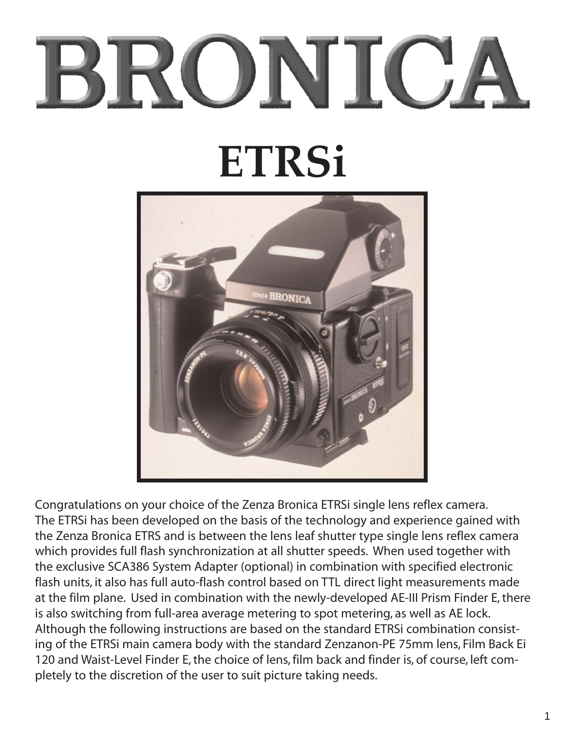# BRONICA **ETRSi**



Congratulations on your choice of the Zenza Bronica ETRSi single lens reflex camera. The ETRSi has been developed on the basis of the technology and experience gained with the Zenza Bronica ETRS and is between the lens leaf shutter type single lens reflex camera which provides full flash synchronization at all shutter speeds. When used together with the exclusive SCA386 System Adapter (optional) in combination with specified electronic flash units, it also has full auto-flash control based on TTL direct light measurements made at the film plane. Used in combination with the newly-developed AE-III Prism Finder E, there is also switching from full-area average metering to spot metering, as well as AE lock. Although the following instructions are based on the standard ETRSi combination consisting of the ETRSi main camera body with the standard Zenzanon-PE 75mm lens, Film Back Ei 120 and Waist-Level Finder E, the choice of lens, film back and finder is, of course, left completely to the discretion of the user to suit picture taking needs.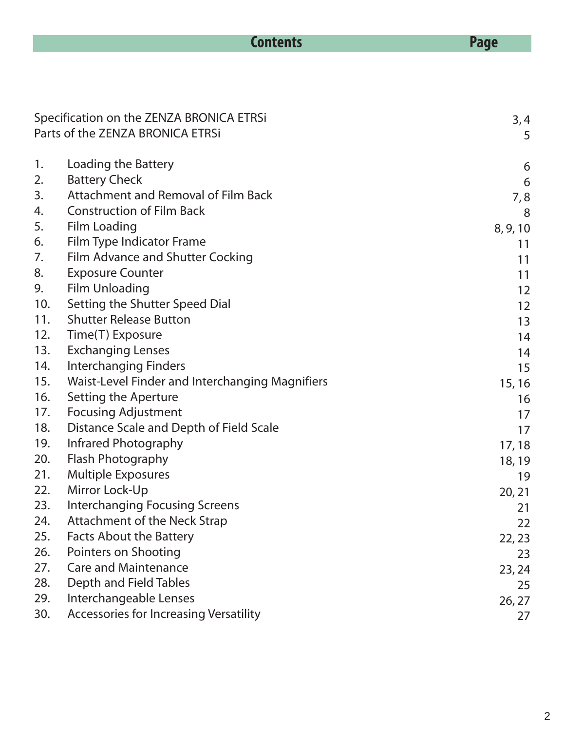|            | <b>Contents</b>                                                              | <b>Page</b>  |
|------------|------------------------------------------------------------------------------|--------------|
|            |                                                                              |              |
|            |                                                                              |              |
|            |                                                                              |              |
|            | Specification on the ZENZA BRONICA ETRSi<br>Parts of the ZENZA BRONICA ETRSi | 3,4<br>5     |
|            |                                                                              |              |
| 1.         | Loading the Battery                                                          | 6            |
| 2.         | <b>Battery Check</b>                                                         | 6            |
| 3.         | <b>Attachment and Removal of Film Back</b>                                   | 7,8          |
| 4.         | <b>Construction of Film Back</b>                                             | 8            |
| 5.         | <b>Film Loading</b>                                                          | 8, 9, 10     |
| 6.         | Film Type Indicator Frame                                                    | 11           |
| 7.         | Film Advance and Shutter Cocking                                             | 11           |
| 8.         | <b>Exposure Counter</b>                                                      | 11           |
| 9.         | <b>Film Unloading</b>                                                        | 12           |
| 10.        | Setting the Shutter Speed Dial                                               | 12           |
| 11.        | <b>Shutter Release Button</b>                                                | 13           |
| 12.        | Time(T) Exposure                                                             | 14           |
| 13.        | <b>Exchanging Lenses</b>                                                     | 14           |
| 14.        | <b>Interchanging Finders</b>                                                 | 15           |
| 15.        | Waist-Level Finder and Interchanging Magnifiers                              | 15, 16       |
| 16.        | Setting the Aperture                                                         | 16           |
| 17.        | <b>Focusing Adjustment</b>                                                   | 17           |
| 18.<br>19. | Distance Scale and Depth of Field Scale<br>Infrared Photography              | 17           |
| 20.        | Flash Photography                                                            | 17, 18       |
| 21.        | <b>Multiple Exposures</b>                                                    | 18, 19       |
| 22.        | Mirror Lock-Up                                                               | 19           |
| 23.        | <b>Interchanging Focusing Screens</b>                                        | 20, 21<br>21 |
| 24.        | Attachment of the Neck Strap                                                 | 22           |
| 25.        | <b>Facts About the Battery</b>                                               | 22, 23       |
| 26.        | Pointers on Shooting                                                         | 23           |
| 27.        | <b>Care and Maintenance</b>                                                  | 23, 24       |
| 28.        | Depth and Field Tables                                                       | 25           |
| 29.        | Interchangeable Lenses                                                       | 26, 27       |
| 30.        | Accessories for Increasing Versatility                                       | 27           |
|            |                                                                              |              |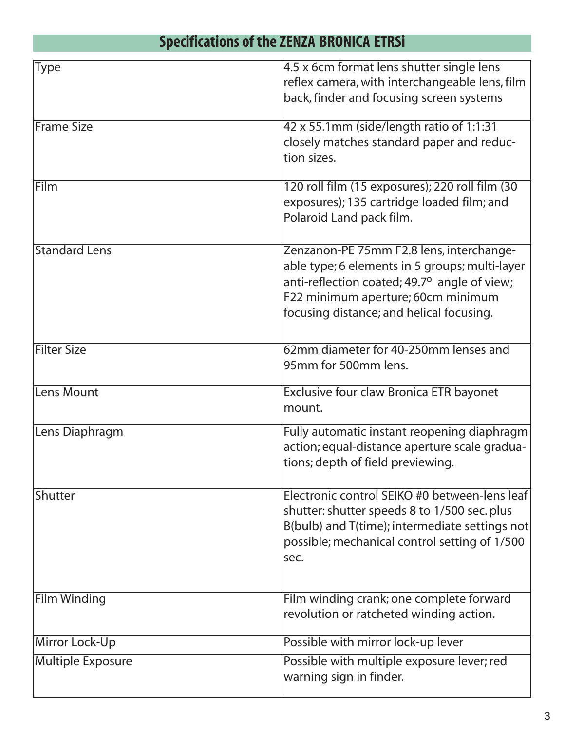# **Specifications of the ZENZA BRONICA ETRSi**

| Type                 | 4.5 x 6cm format lens shutter single lens<br>reflex camera, with interchangeable lens, film     |
|----------------------|-------------------------------------------------------------------------------------------------|
|                      | back, finder and focusing screen systems                                                        |
| <b>Frame Size</b>    | 42 x 55.1mm (side/length ratio of 1:1:31                                                        |
|                      | closely matches standard paper and reduc-<br>tion sizes.                                        |
| Film                 | 120 roll film (15 exposures); 220 roll film (30                                                 |
|                      | exposures); 135 cartridge loaded film; and<br>Polaroid Land pack film.                          |
| <b>Standard Lens</b> | Zenzanon-PE 75mm F2.8 lens, interchange-                                                        |
|                      | able type; 6 elements in 5 groups; multi-layer                                                  |
|                      | anti-reflection coated; 49.7 <sup>o</sup> angle of view;                                        |
|                      | F22 minimum aperture; 60cm minimum<br>focusing distance; and helical focusing.                  |
| <b>Filter Size</b>   | 62mm diameter for 40-250mm lenses and                                                           |
|                      | 95mm for 500mm lens.                                                                            |
| Lens Mount           | Exclusive four claw Bronica ETR bayonet<br>mount.                                               |
| Lens Diaphragm       | Fully automatic instant reopening diaphragm<br>action; equal-distance aperture scale gradua-    |
|                      | tions; depth of field previewing.                                                               |
| Shutter              | Electronic control SEIKO #0 between-lens leaf                                                   |
|                      | shutter: shutter speeds 8 to 1/500 sec. plus                                                    |
|                      | B(bulb) and T(time); intermediate settings not<br>possible; mechanical control setting of 1/500 |
|                      | sec.                                                                                            |
|                      |                                                                                                 |
| <b>Film Winding</b>  | Film winding crank; one complete forward<br>revolution or ratcheted winding action.             |
| Mirror Lock-Up       | Possible with mirror lock-up lever                                                              |
| Multiple Exposure    | Possible with multiple exposure lever; red<br>warning sign in finder.                           |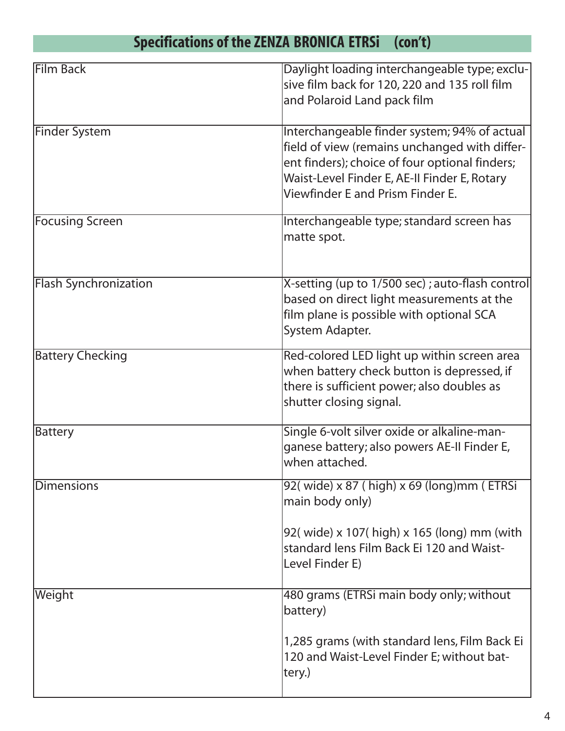# **Specifications of the ZENZA BRONICA ETRSi (con't)**

| <b>Film Back</b>             | Daylight loading interchangeable type; exclu-   |
|------------------------------|-------------------------------------------------|
|                              | sive film back for 120, 220 and 135 roll film   |
|                              | and Polaroid Land pack film                     |
|                              |                                                 |
| <b>Finder System</b>         | Interchangeable finder system; 94% of actual    |
|                              | field of view (remains unchanged with differ-   |
|                              | ent finders); choice of four optional finders;  |
|                              | Waist-Level Finder E, AE-II Finder E, Rotary    |
|                              | Viewfinder E and Prism Finder E.                |
|                              |                                                 |
| <b>Focusing Screen</b>       | Interchangeable type; standard screen has       |
|                              | matte spot.                                     |
|                              |                                                 |
| <b>Flash Synchronization</b> | X-setting (up to 1/500 sec); auto-flash control |
|                              | based on direct light measurements at the       |
|                              | film plane is possible with optional SCA        |
|                              |                                                 |
|                              | System Adapter.                                 |
| <b>Battery Checking</b>      | Red-colored LED light up within screen area     |
|                              | when battery check button is depressed, if      |
|                              | there is sufficient power; also doubles as      |
|                              | shutter closing signal.                         |
|                              |                                                 |
| <b>Battery</b>               | Single 6-volt silver oxide or alkaline-man-     |
|                              | ganese battery; also powers AE-II Finder E,     |
|                              | when attached.                                  |
| <b>Dimensions</b>            | 92(wide) x 87 (high) x 69 (long)mm (ETRSi       |
|                              | main body only)                                 |
|                              |                                                 |
|                              | 92( wide) x 107( high) x 165 (long) mm (with    |
|                              | standard lens Film Back Ei 120 and Waist-       |
|                              | Level Finder E)                                 |
|                              |                                                 |
| Weight                       | 480 grams (ETRSi main body only; without        |
|                              | battery)                                        |
|                              |                                                 |
|                              | 1,285 grams (with standard lens, Film Back Ei   |
|                              | 120 and Waist-Level Finder E; without bat-      |
|                              | tery.)                                          |
|                              |                                                 |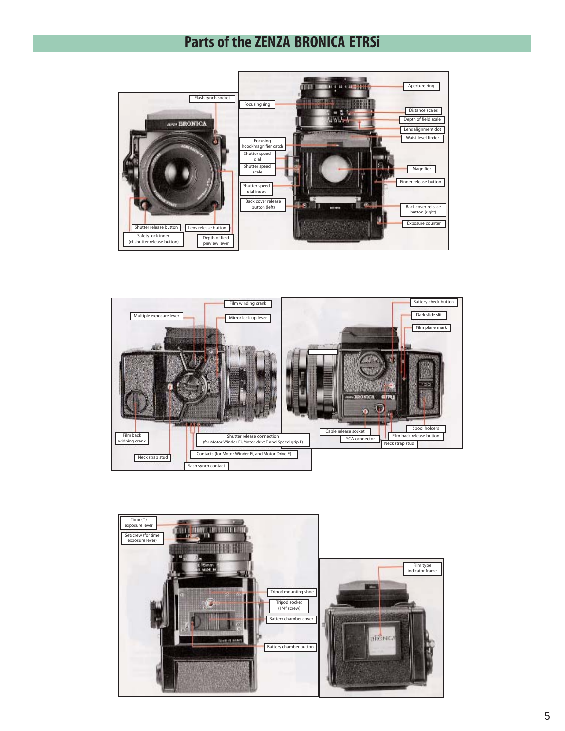#### **Parts of the ZENZA BRONICA ETRSi**





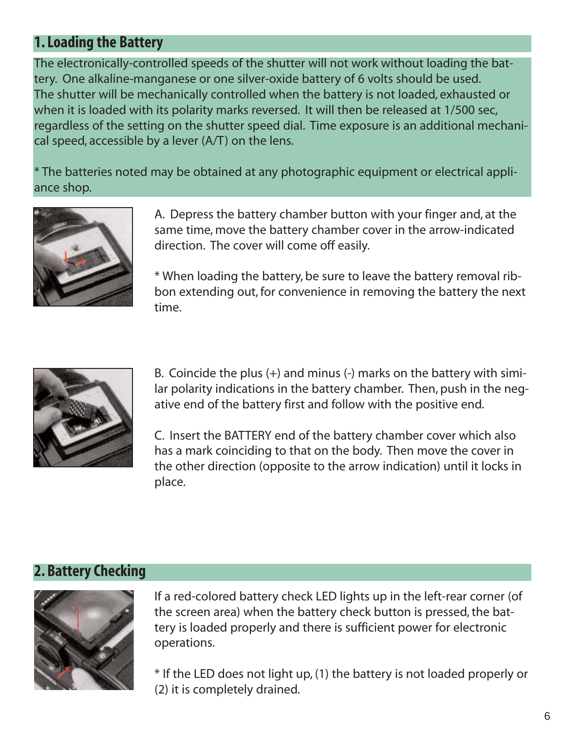## **1. Loading the Battery**

The electronically-controlled speeds of the shutter will not work without loading the battery. One alkaline-manganese or one silver-oxide battery of 6 volts should be used. The shutter will be mechanically controlled when the battery is not loaded, exhausted or when it is loaded with its polarity marks reversed. It will then be released at 1/500 sec, regardless of the setting on the shutter speed dial. Time exposure is an additional mechanical speed, accessible by a lever (A/T) on the lens.

\* The batteries noted may be obtained at any photographic equipment or electrical appliance shop.



A. Depress the battery chamber button with your finger and, at the same time, move the battery chamber cover in the arrow-indicated direction. The cover will come off easily.

\* When loading the battery, be sure to leave the battery removal ribbon extending out, for convenience in removing the battery the next time.



B. Coincide the plus (+) and minus (-) marks on the battery with similar polarity indications in the battery chamber. Then, push in the negative end of the battery first and follow with the positive end.

C. Insert the BATTERY end of the battery chamber cover which also has a mark coinciding to that on the body. Then move the cover in the other direction (opposite to the arrow indication) until it locks in place.

## **2. Battery Checking**



If a red-colored battery check LED lights up in the left-rear corner (of the screen area) when the battery check button is pressed, the battery is loaded properly and there is sufficient power for electronic operations.

\* If the LED does not light up, (1) the battery is not loaded properly or (2) it is completely drained.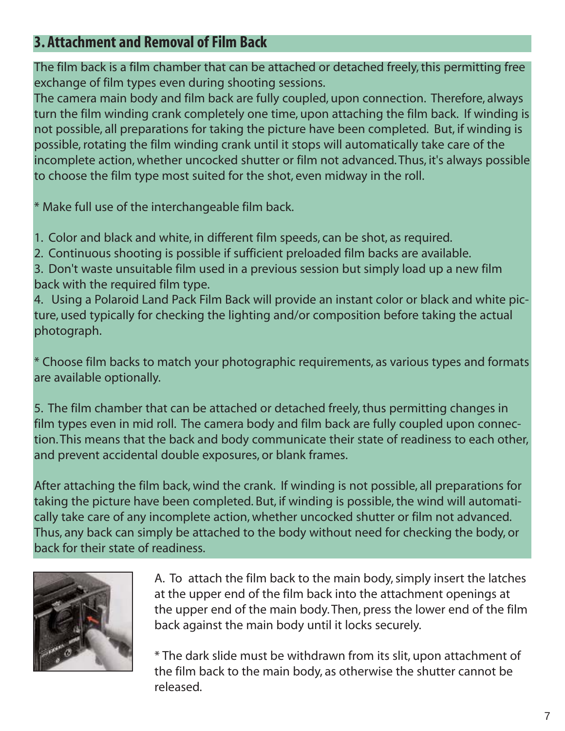## **3. Attachment and Removal of Film Back**

The film back is a film chamber that can be attached or detached freely, this permitting free exchange of film types even during shooting sessions.

The camera main body and film back are fully coupled, upon connection. Therefore, always turn the film winding crank completely one time, upon attaching the film back. If winding is not possible, all preparations for taking the picture have been completed. But, if winding is possible, rotating the film winding crank until it stops will automatically take care of the incomplete action, whether uncocked shutter or film not advanced. Thus, it's always possible to choose the film type most suited for the shot, even midway in the roll.

\* Make full use of the interchangeable film back.

- 1. Color and black and white, in different film speeds, can be shot, as required.
- 2. Continuous shooting is possible if sufficient preloaded film backs are available.

3. Don't waste unsuitable film used in a previous session but simply load up a new film back with the required film type.

4. Using a Polaroid Land Pack Film Back will provide an instant color or black and white picture, used typically for checking the lighting and/or composition before taking the actual photograph.

\* Choose film backs to match your photographic requirements, as various types and formats are available optionally.

5. The film chamber that can be attached or detached freely, thus permitting changes in film types even in mid roll. The camera body and film back are fully coupled upon connection. This means that the back and body communicate their state of readiness to each other, and prevent accidental double exposures, or blank frames.

After attaching the film back, wind the crank. If winding is not possible, all preparations for taking the picture have been completed. But, if winding is possible, the wind will automatically take care of any incomplete action, whether uncocked shutter or film not advanced. Thus, any back can simply be attached to the body without need for checking the body, or back for their state of readiness.



A. To attach the film back to the main body, simply insert the latches at the upper end of the film back into the attachment openings at the upper end of the main body. Then, press the lower end of the film back against the main body until it locks securely.

\* The dark slide must be withdrawn from its slit, upon attachment of the film back to the main body, as otherwise the shutter cannot be released.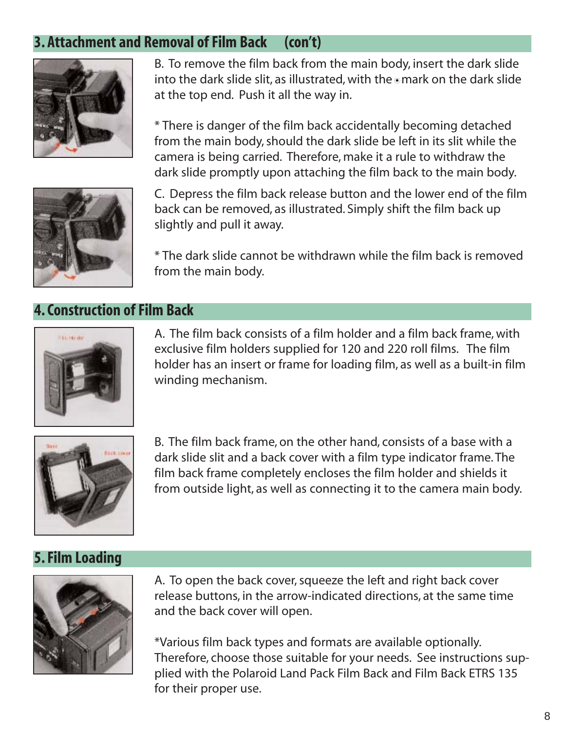## **3. Attachment and Removal of Film Back (con't)**



B. To remove the film back from the main body, insert the dark slide into the dark slide slit, as illustrated, with the  $\circ$  mark on the dark slide at the top end. Push it all the way in.

\* There is danger of the film back accidentally becoming detached from the main body, should the dark slide be left in its slit while the camera is being carried. Therefore, make it a rule to withdraw the dark slide promptly upon attaching the film back to the main body.



C. Depress the film back release button and the lower end of the film back can be removed, as illustrated. Simply shift the film back up slightly and pull it away.

\* The dark slide cannot be withdrawn while the film back is removed from the main body.

#### **4. Construction of Film Back**



A. The film back consists of a film holder and a film back frame, with exclusive film holders supplied for 120 and 220 roll films. The film holder has an insert or frame for loading film, as well as a built-in film winding mechanism.



B. The film back frame, on the other hand, consists of a base with a dark slide slit and a back cover with a film type indicator frame. The film back frame completely encloses the film holder and shields it from outside light, as well as connecting it to the camera main body.

#### **5. Film Loading**



A. To open the back cover, squeeze the left and right back cover release buttons, in the arrow-indicated directions, at the same time and the back cover will open.

\*Various film back types and formats are available optionally. Therefore, choose those suitable for your needs. See instructions supplied with the Polaroid Land Pack Film Back and Film Back ETRS 135 for their proper use.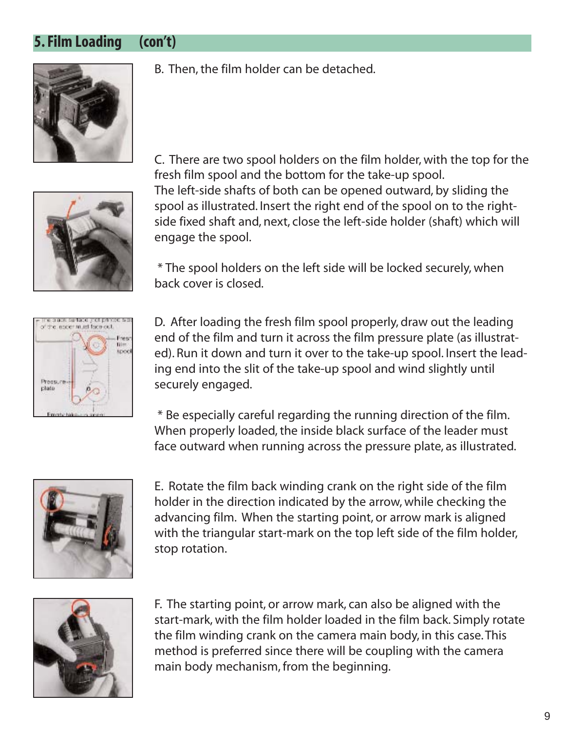#### **5. Film Loading (con't)**



B. Then, the film holder can be detached.



C. There are two spool holders on the film holder, with the top for the fresh film spool and the bottom for the take-up spool. The left-side shafts of both can be opened outward, by sliding the spool as illustrated. Insert the right end of the spool on to the rightside fixed shaft and, next, close the left-side holder (shaft) which will engage the spool.

\* The spool holders on the left side will be locked securely, when back cover is closed.



D. After loading the fresh film spool properly, draw out the leading end of the film and turn it across the film pressure plate (as illustrated). Run it down and turn it over to the take-up spool. Insert the leading end into the slit of the take-up spool and wind slightly until securely engaged.

\* Be especially careful regarding the running direction of the film. When properly loaded, the inside black surface of the leader must face outward when running across the pressure plate, as illustrated.



E. Rotate the film back winding crank on the right side of the film holder in the direction indicated by the arrow, while checking the advancing film. When the starting point, or arrow mark is aligned with the triangular start-mark on the top left side of the film holder, stop rotation.



F. The starting point, or arrow mark, can also be aligned with the start-mark, with the film holder loaded in the film back. Simply rotate the film winding crank on the camera main body, in this case. This method is preferred since there will be coupling with the camera main body mechanism, from the beginning.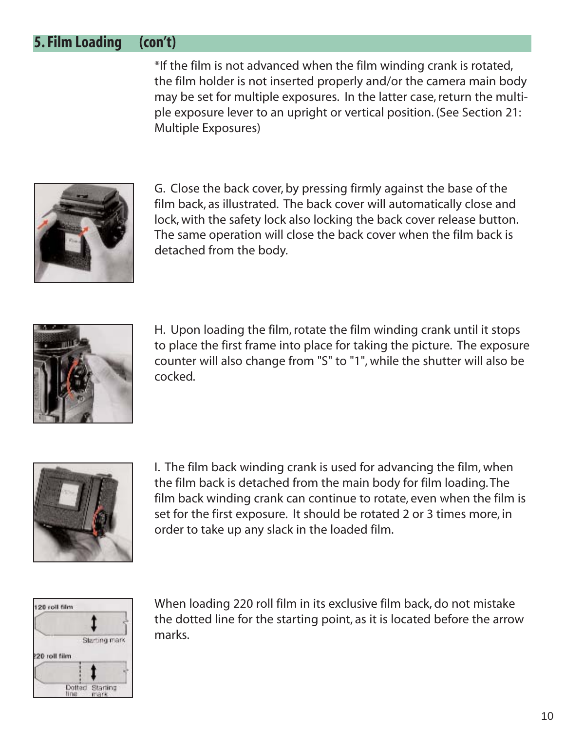#### **5. Film Loading (con't)**

\*If the film is not advanced when the film winding crank is rotated, the film holder is not inserted properly and/or the camera main body may be set for multiple exposures. In the latter case, return the multiple exposure lever to an upright or vertical position. (See Section 21: Multiple Exposures)



G. Close the back cover, by pressing firmly against the base of the film back, as illustrated. The back cover will automatically close and lock, with the safety lock also locking the back cover release button. The same operation will close the back cover when the film back is detached from the body.



H. Upon loading the film, rotate the film winding crank until it stops to place the first frame into place for taking the picture. The exposure counter will also change from "S" to "1", while the shutter will also be cocked.



I. The film back winding crank is used for advancing the film, when the film back is detached from the main body for film loading. The film back winding crank can continue to rotate, even when the film is set for the first exposure. It should be rotated 2 or 3 times more, in order to take up any slack in the loaded film.



When loading 220 roll film in its exclusive film back, do not mistake the dotted line for the starting point, as it is located before the arrow marks.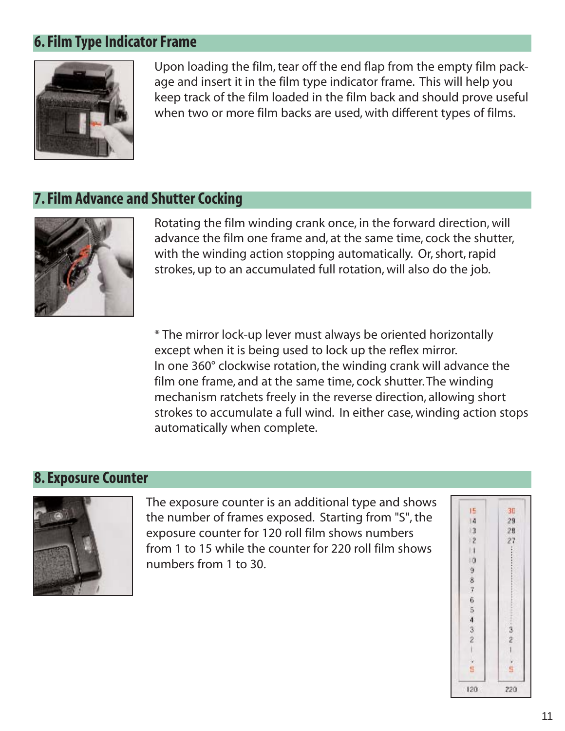#### **6. Film Type Indicator Frame**



Upon loading the film, tear off the end flap from the empty film package and insert it in the film type indicator frame. This will help you keep track of the film loaded in the film back and should prove useful when two or more film backs are used, with different types of films.

#### **7. Film Advance and Shutter Cocking**



Rotating the film winding crank once, in the forward direction, will advance the film one frame and, at the same time, cock the shutter, with the winding action stopping automatically. Or, short, rapid strokes, up to an accumulated full rotation, will also do the job.

\* The mirror lock-up lever must always be oriented horizontally except when it is being used to lock up the reflex mirror. In one 360° clockwise rotation, the winding crank will advance the film one frame, and at the same time, cock shutter. The winding mechanism ratchets freely in the reverse direction, allowing short strokes to accumulate a full wind. In either case, winding action stops automatically when complete.

#### **8. Exposure Counter**



The exposure counter is an additional type and shows the number of frames exposed. Starting from "S", the exposure counter for 120 roll film shows numbers from 1 to 15 while the counter for 220 roll film shows numbers from 1 to 30.

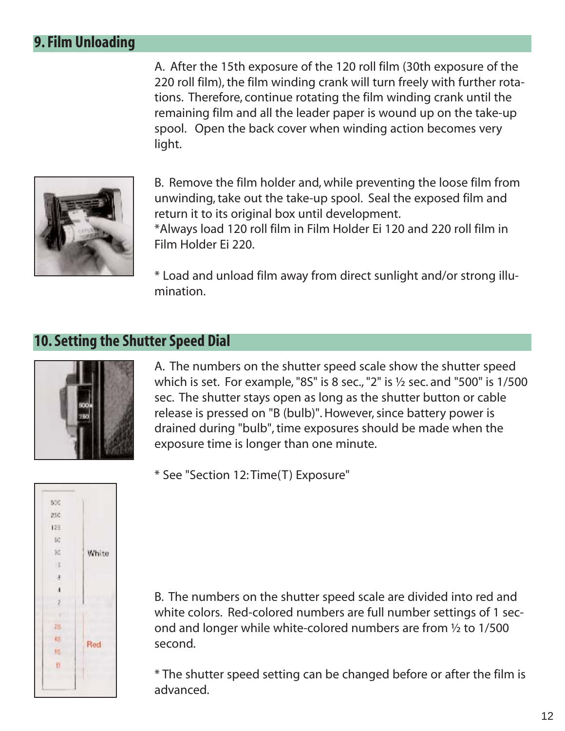## **9. Film Unloading**

A. After the 15th exposure of the 120 roll film (30th exposure of the 220 roll film), the film winding crank will turn freely with further rotations. Therefore, continue rotating the film winding crank until the remaining film and all the leader paper is wound up on the take-up spool. Open the back cover when winding action becomes very light.



B. Remove the film holder and, while preventing the loose film from unwinding, take out the take-up spool. Seal the exposed film and return it to its original box until development.

\*Always load 120 roll film in Film Holder Ei 120 and 220 roll film in Film Holder Ei 220.

\* Load and unload film away from direct sunlight and/or strong illumination.

#### **10. Setting the Shutter Speed Dial**



A. The numbers on the shutter speed scale show the shutter speed which is set. For example, "8S" is 8 sec., "2" is ½ sec. and "500" is 1/500 sec. The shutter stays open as long as the shutter button or cable release is pressed on "B (bulb)". However, since battery power is drained during "bulb", time exposures should be made when the exposure time is longer than one minute.



\* See "Section 12: Time(T) Exposure"

B. The numbers on the shutter speed scale are divided into red and white colors. Red-colored numbers are full number settings of 1 second and longer while white-colored numbers are from ½ to 1/500 second.

\* The shutter speed setting can be changed before or after the film is advanced.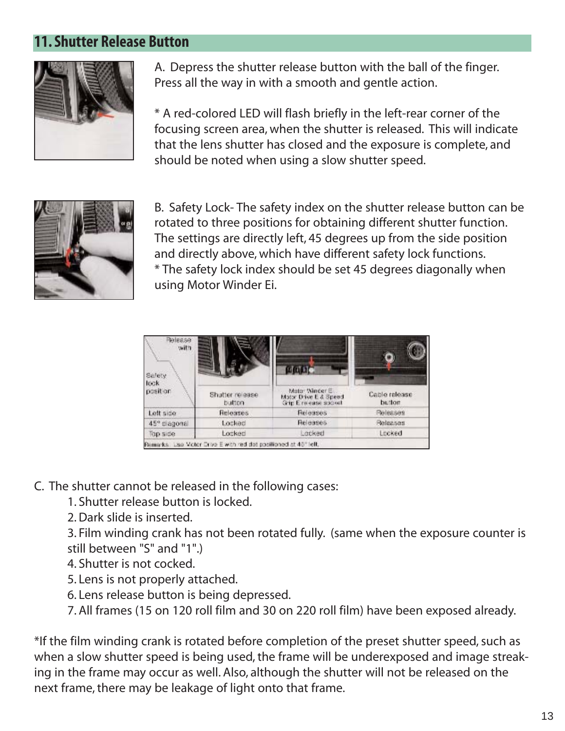#### **11. Shutter Release Button**



A. Depress the shutter release button with the ball of the finger. Press all the way in with a smooth and gentle action.

\* A red-colored LED will flash briefly in the left-rear corner of the focusing screen area, when the shutter is released. This will indicate that the lens shutter has closed and the exposure is complete, and should be noted when using a slow shutter speed.



B. Safety Lock- The safety index on the shutter release button can be rotated to three positions for obtaining different shutter function. The settings are directly left, 45 degrees up from the side position and directly above, which have different safety lock functions. \* The safety lock index should be set 45 degrees diagonally when using Motor Winder Ei.



C. The shutter cannot be released in the following cases:

1. Shutter release button is locked.

2. Dark slide is inserted.

3. Film winding crank has not been rotated fully. (same when the exposure counter is still between "S" and "1".)

- 4. Shutter is not cocked.
- 5. Lens is not properly attached.
- 6. Lens release button is being depressed.
- 7. All frames (15 on 120 roll film and 30 on 220 roll film) have been exposed already.

\*If the film winding crank is rotated before completion of the preset shutter speed, such as when a slow shutter speed is being used, the frame will be underexposed and image streaking in the frame may occur as well. Also, although the shutter will not be released on the next frame, there may be leakage of light onto that frame.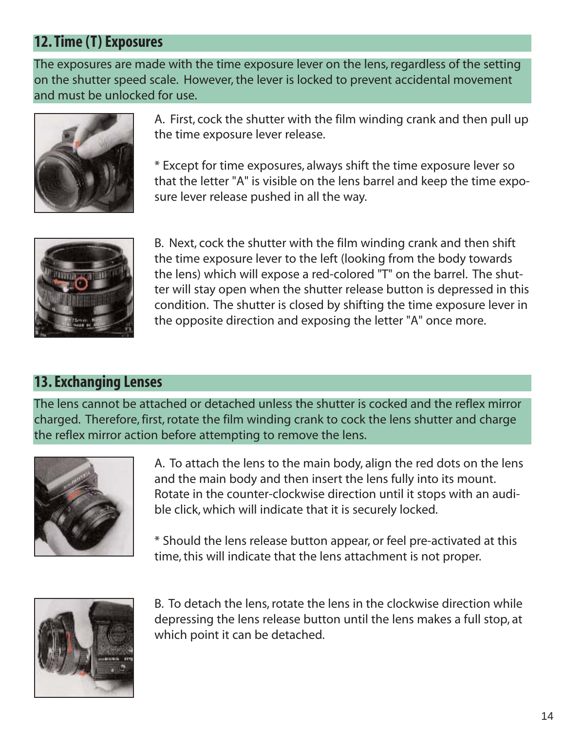## **12. Time (T) Exposures**

The exposures are made with the time exposure lever on the lens, regardless of the setting on the shutter speed scale. However, the lever is locked to prevent accidental movement and must be unlocked for use.



A. First, cock the shutter with the film winding crank and then pull up the time exposure lever release.

\* Except for time exposures, always shift the time exposure lever so that the letter "A" is visible on the lens barrel and keep the time exposure lever release pushed in all the way.



B. Next, cock the shutter with the film winding crank and then shift the time exposure lever to the left (looking from the body towards the lens) which will expose a red-colored "T" on the barrel. The shutter will stay open when the shutter release button is depressed in this condition. The shutter is closed by shifting the time exposure lever in the opposite direction and exposing the letter "A" once more.

## **13. Exchanging Lenses**

The lens cannot be attached or detached unless the shutter is cocked and the reflex mirror charged. Therefore, first, rotate the film winding crank to cock the lens shutter and charge the reflex mirror action before attempting to remove the lens.



A. To attach the lens to the main body, align the red dots on the lens and the main body and then insert the lens fully into its mount. Rotate in the counter-clockwise direction until it stops with an audible click, which will indicate that it is securely locked.

\* Should the lens release button appear, or feel pre-activated at this time, this will indicate that the lens attachment is not proper.



B. To detach the lens, rotate the lens in the clockwise direction while depressing the lens release button until the lens makes a full stop, at which point it can be detached.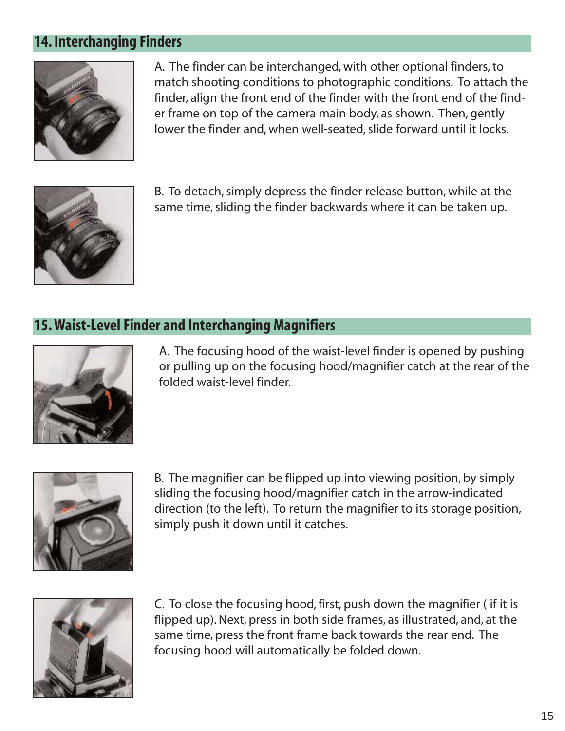#### **14. Interchanging Finders**



A. The finder can be interchanged, with other optional finders, to match shooting conditions to photographic conditions. To attach the finder, align the front end of the finder with the front end of the finder frame on top of the camera main body, as shown. Then, gently lower the finder and, when well-seated, slide forward until it locks.



B. To detach, simply depress the finder release button, while at the same time, sliding the finder backwards where it can be taken up.

#### **15. Waist-Level Finder and Interchanging Magnifiers**



A. The focusing hood of the waist-level finder is opened by pushing or pulling up on the focusing hood/magnifier catch at the rear of the folded waist-level finder.



B. The magnifier can be flipped up into viewing position, by simply sliding the focusing hood/magnifier catch in the arrow-indicated direction (to the left). To return the magnifier to its storage position, simply push it down until it catches.



C. To close the focusing hood, first, push down the magnifier ( if it is flipped up). Next, press in both side frames, as illustrated, and, at the same time, press the front frame back towards the rear end. The focusing hood will automatically be folded down.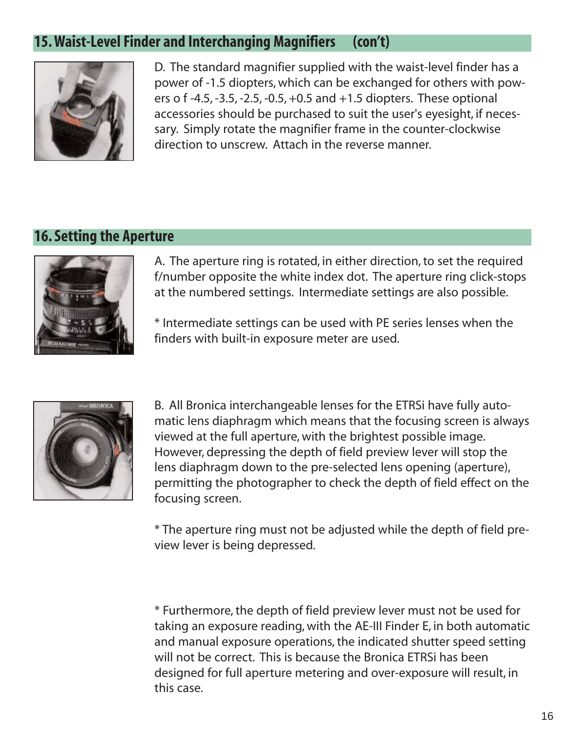## **15. Waist-Level Finder and Interchanging Magnifiers (con't)**



D. The standard magnifier supplied with the waist-level finder has a power of -1.5 diopters, which can be exchanged for others with powers o f -4.5, -3.5, -2.5, -0.5, +0.5 and +1.5 diopters. These optional accessories should be purchased to suit the user's eyesight, if necessary. Simply rotate the magnifier frame in the counter-clockwise direction to unscrew. Attach in the reverse manner.

## **16. Setting the Aperture**



A. The aperture ring is rotated, in either direction, to set the required f/number opposite the white index dot. The aperture ring click-stops at the numbered settings. Intermediate settings are also possible.

\* Intermediate settings can be used with PE series lenses when the finders with built-in exposure meter are used.



B. All Bronica interchangeable lenses for the ETRSi have fully automatic lens diaphragm which means that the focusing screen is always viewed at the full aperture, with the brightest possible image. However, depressing the depth of field preview lever will stop the lens diaphragm down to the pre-selected lens opening (aperture), permitting the photographer to check the depth of field effect on the focusing screen.

\* The aperture ring must not be adjusted while the depth of field preview lever is being depressed.

\* Furthermore, the depth of field preview lever must not be used for taking an exposure reading, with the AE-III Finder E, in both automatic and manual exposure operations, the indicated shutter speed setting will not be correct. This is because the Bronica ETRSi has been designed for full aperture metering and over-exposure will result, in this case.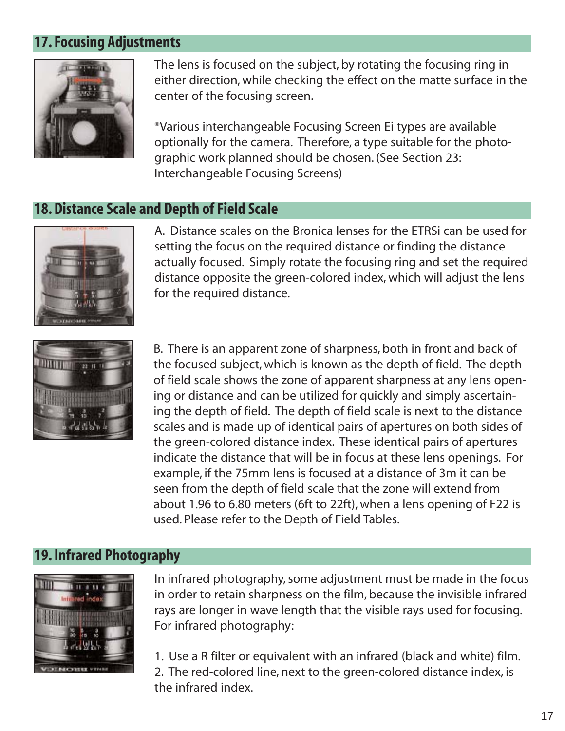## **17. Focusing Adjustments**



The lens is focused on the subject, by rotating the focusing ring in either direction, while checking the effect on the matte surface in the center of the focusing screen.

\*Various interchangeable Focusing Screen Ei types are available optionally for the camera. Therefore, a type suitable for the photographic work planned should be chosen. (See Section 23: Interchangeable Focusing Screens)

#### **18. Distance Scale and Depth of Field Scale**



A. Distance scales on the Bronica lenses for the ETRSi can be used for setting the focus on the required distance or finding the distance actually focused. Simply rotate the focusing ring and set the required distance opposite the green-colored index, which will adjust the lens for the required distance.



B. There is an apparent zone of sharpness, both in front and back of the focused subject, which is known as the depth of field. The depth of field scale shows the zone of apparent sharpness at any lens opening or distance and can be utilized for quickly and simply ascertaining the depth of field. The depth of field scale is next to the distance scales and is made up of identical pairs of apertures on both sides of the green-colored distance index. These identical pairs of apertures indicate the distance that will be in focus at these lens openings. For example, if the 75mm lens is focused at a distance of 3m it can be seen from the depth of field scale that the zone will extend from about 1.96 to 6.80 meters (6ft to 22ft), when a lens opening of F22 is used. Please refer to the Depth of Field Tables.

#### **19. Infrared Photography**



In infrared photography, some adjustment must be made in the focus in order to retain sharpness on the film, because the invisible infrared rays are longer in wave length that the visible rays used for focusing. For infrared photography:

1. Use a R filter or equivalent with an infrared (black and white) film. 2. The red-colored line, next to the green-colored distance index, is the infrared index.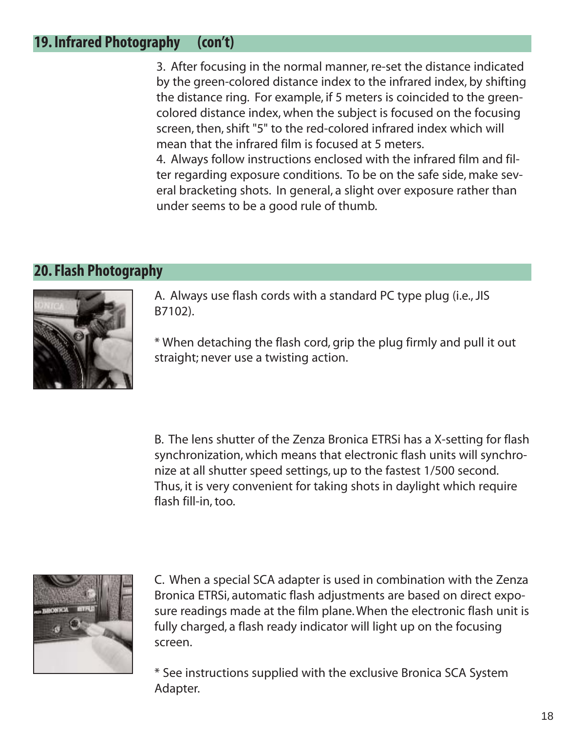#### **19. Infrared Photography (con't)**

3. After focusing in the normal manner, re-set the distance indicated by the green-colored distance index to the infrared index, by shifting the distance ring. For example, if 5 meters is coincided to the greencolored distance index, when the subject is focused on the focusing screen, then, shift "5" to the red-colored infrared index which will mean that the infrared film is focused at 5 meters.

4. Always follow instructions enclosed with the infrared film and filter regarding exposure conditions. To be on the safe side, make several bracketing shots. In general, a slight over exposure rather than under seems to be a good rule of thumb.

#### **20. Flash Photography**



A. Always use flash cords with a standard PC type plug (i.e., JIS B7102).

\* When detaching the flash cord, grip the plug firmly and pull it out straight; never use a twisting action.

B. The lens shutter of the Zenza Bronica ETRSi has a X-setting for flash synchronization, which means that electronic flash units will synchronize at all shutter speed settings, up to the fastest 1/500 second. Thus, it is very convenient for taking shots in daylight which require flash fill-in, too.



C. When a special SCA adapter is used in combination with the Zenza Bronica ETRSi, automatic flash adjustments are based on direct exposure readings made at the film plane. When the electronic flash unit is fully charged, a flash ready indicator will light up on the focusing screen.

\* See instructions supplied with the exclusive Bronica SCA System Adapter.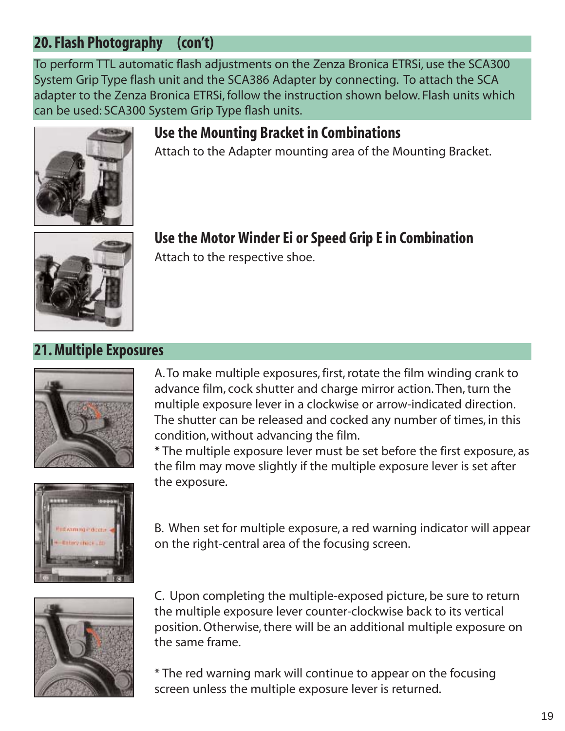## **20. Flash Photography (con't)**

To perform TTL automatic flash adjustments on the Zenza Bronica ETRSi, use the SCA300 System Grip Type flash unit and the SCA386 Adapter by connecting. To attach the SCA adapter to the Zenza Bronica ETRSi, follow the instruction shown below. Flash units which can be used: SCA300 System Grip Type flash units.



## **Use the Mounting Bracket in Combinations**

Attach to the Adapter mounting area of the Mounting Bracket.



## **Use the Motor Winder Ei or Speed Grip E in Combination**

Attach to the respective shoe.

## **21. Multiple Exposures**



A. To make multiple exposures, first, rotate the film winding crank to advance film, cock shutter and charge mirror action. Then, turn the multiple exposure lever in a clockwise or arrow-indicated direction. The shutter can be released and cocked any number of times, in this condition, without advancing the film.

\* The multiple exposure lever must be set before the first exposure, as the film may move slightly if the multiple exposure lever is set after the exposure.



B. When set for multiple exposure, a red warning indicator will appear on the right-central area of the focusing screen.



C. Upon completing the multiple-exposed picture, be sure to return the multiple exposure lever counter-clockwise back to its vertical position. Otherwise, there will be an additional multiple exposure on the same frame.

\* The red warning mark will continue to appear on the focusing screen unless the multiple exposure lever is returned.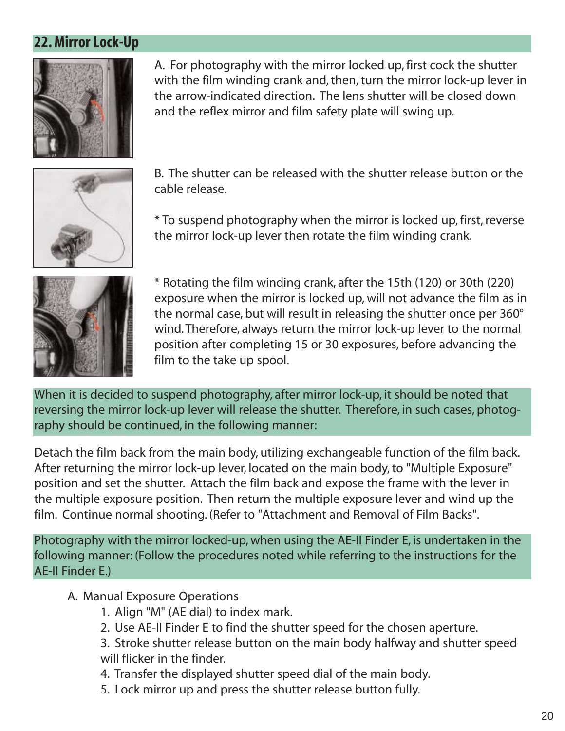## **22. Mirror Lock-Up**



A. For photography with the mirror locked up, first cock the shutter with the film winding crank and, then, turn the mirror lock-up lever in the arrow-indicated direction. The lens shutter will be closed down and the reflex mirror and film safety plate will swing up.



B. The shutter can be released with the shutter release button or the cable release.

\* To suspend photography when the mirror is locked up, first, reverse the mirror lock-up lever then rotate the film winding crank.



\* Rotating the film winding crank, after the 15th (120) or 30th (220) exposure when the mirror is locked up, will not advance the film as in the normal case, but will result in releasing the shutter once per 360° wind. Therefore, always return the mirror lock-up lever to the normal position after completing 15 or 30 exposures, before advancing the film to the take up spool.

When it is decided to suspend photography, after mirror lock-up, it should be noted that reversing the mirror lock-up lever will release the shutter. Therefore, in such cases, photography should be continued, in the following manner:

Detach the film back from the main body, utilizing exchangeable function of the film back. After returning the mirror lock-up lever, located on the main body, to "Multiple Exposure" position and set the shutter. Attach the film back and expose the frame with the lever in the multiple exposure position. Then return the multiple exposure lever and wind up the film. Continue normal shooting. (Refer to "Attachment and Removal of Film Backs".

Photography with the mirror locked-up, when using the AE-II Finder E, is undertaken in the following manner: (Follow the procedures noted while referring to the instructions for the AE-II Finder E.)

#### A. Manual Exposure Operations

- 1. Align "M" (AE dial) to index mark.
- 2. Use AE-II Finder E to find the shutter speed for the chosen aperture.
- 3. Stroke shutter release button on the main body halfway and shutter speed will flicker in the finder.
- 4. Transfer the displayed shutter speed dial of the main body.
- 5. Lock mirror up and press the shutter release button fully.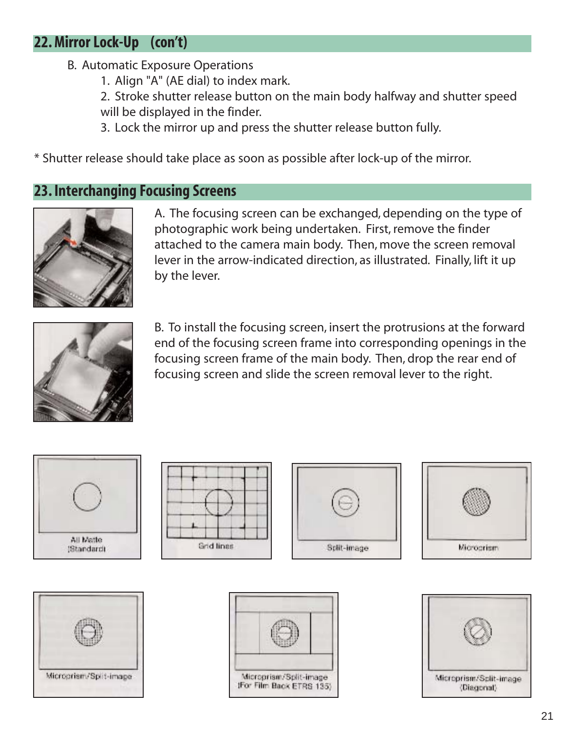## **22. Mirror Lock-Up (con't)**

- B. Automatic Exposure Operations
	- 1. Align "A" (AE dial) to index mark.

2. Stroke shutter release button on the main body halfway and shutter speed will be displayed in the finder.

3. Lock the mirror up and press the shutter release button fully.

\* Shutter release should take place as soon as possible after lock-up of the mirror.

#### **23. Interchanging Focusing Screens**



A. The focusing screen can be exchanged, depending on the type of photographic work being undertaken. First, remove the finder attached to the camera main body. Then, move the screen removal lever in the arrow-indicated direction, as illustrated. Finally, lift it up by the lever.



B. To install the focusing screen, insert the protrusions at the forward end of the focusing screen frame into corresponding openings in the focusing screen frame of the main body. Then, drop the rear end of focusing screen and slide the screen removal lever to the right.













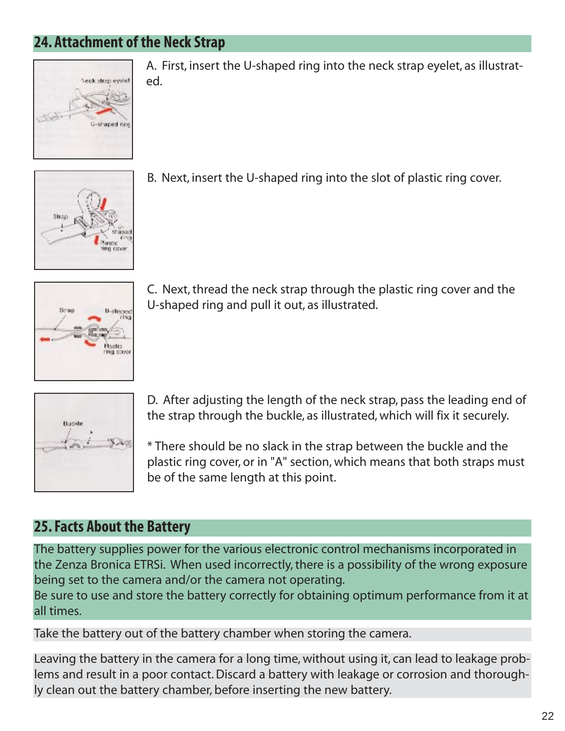## **24. Attachment of the Neck Strap**



A. First, insert the U-shaped ring into the neck strap eyelet, as illustrated.



B. Next, insert the U-shaped ring into the slot of plastic ring cover.



C. Next, thread the neck strap through the plastic ring cover and the U-shaped ring and pull it out, as illustrated.



D. After adjusting the length of the neck strap, pass the leading end of the strap through the buckle, as illustrated, which will fix it securely.

\* There should be no slack in the strap between the buckle and the plastic ring cover, or in "A" section, which means that both straps must be of the same length at this point.

#### **25. Facts About the Battery**

The battery supplies power for the various electronic control mechanisms incorporated in the Zenza Bronica ETRSi. When used incorrectly, there is a possibility of the wrong exposure being set to the camera and/or the camera not operating.

Be sure to use and store the battery correctly for obtaining optimum performance from it at all times.

Take the battery out of the battery chamber when storing the camera.

Leaving the battery in the camera for a long time, without using it, can lead to leakage problems and result in a poor contact. Discard a battery with leakage or corrosion and thoroughly clean out the battery chamber, before inserting the new battery.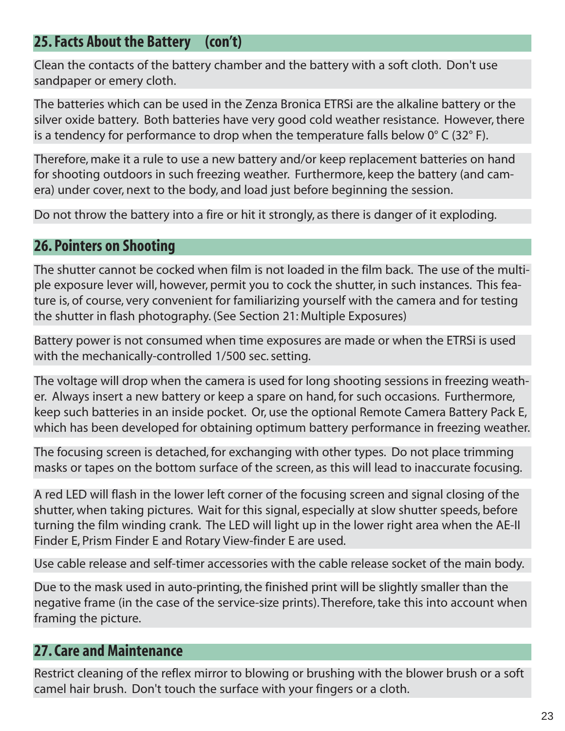## **25. Facts About the Battery (con't)**

Clean the contacts of the battery chamber and the battery with a soft cloth. Don't use sandpaper or emery cloth.

The batteries which can be used in the Zenza Bronica ETRSi are the alkaline battery or the silver oxide battery. Both batteries have very good cold weather resistance. However, there is a tendency for performance to drop when the temperature falls below  $0^{\circ}$  C (32 $^{\circ}$  F).

Therefore, make it a rule to use a new battery and/or keep replacement batteries on hand for shooting outdoors in such freezing weather. Furthermore, keep the battery (and camera) under cover, next to the body, and load just before beginning the session.

Do not throw the battery into a fire or hit it strongly, as there is danger of it exploding.

#### **26. Pointers on Shooting**

The shutter cannot be cocked when film is not loaded in the film back. The use of the multiple exposure lever will, however, permit you to cock the shutter, in such instances. This feature is, of course, very convenient for familiarizing yourself with the camera and for testing the shutter in flash photography. (See Section 21: Multiple Exposures)

Battery power is not consumed when time exposures are made or when the ETRSi is used with the mechanically-controlled 1/500 sec. setting.

The voltage will drop when the camera is used for long shooting sessions in freezing weather. Always insert a new battery or keep a spare on hand, for such occasions. Furthermore, keep such batteries in an inside pocket. Or, use the optional Remote Camera Battery Pack E, which has been developed for obtaining optimum battery performance in freezing weather.

The focusing screen is detached, for exchanging with other types. Do not place trimming masks or tapes on the bottom surface of the screen, as this will lead to inaccurate focusing.

A red LED will flash in the lower left corner of the focusing screen and signal closing of the shutter, when taking pictures. Wait for this signal, especially at slow shutter speeds, before turning the film winding crank. The LED will light up in the lower right area when the AE-II Finder E, Prism Finder E and Rotary View-finder E are used.

Use cable release and self-timer accessories with the cable release socket of the main body.

Due to the mask used in auto-printing, the finished print will be slightly smaller than the negative frame (in the case of the service-size prints). Therefore, take this into account when framing the picture.

## **27. Care and Maintenance**

Restrict cleaning of the reflex mirror to blowing or brushing with the blower brush or a soft camel hair brush. Don't touch the surface with your fingers or a cloth.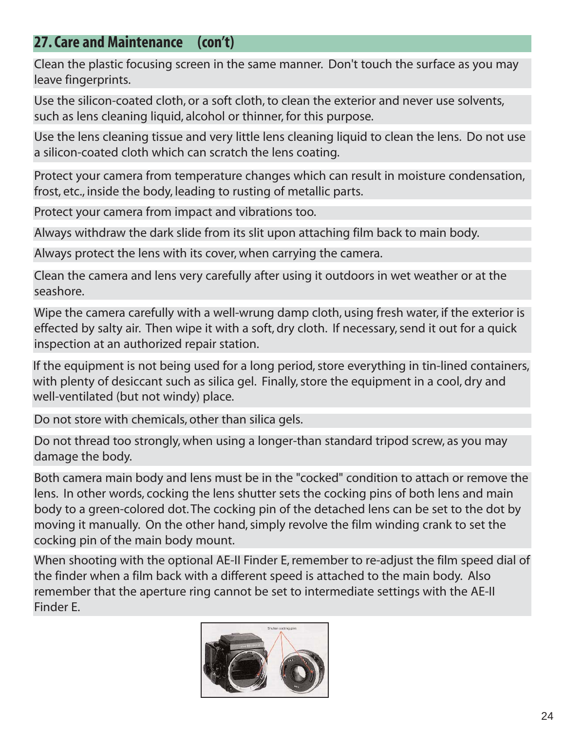## **27. Care and Maintenance (con't)**

Clean the plastic focusing screen in the same manner. Don't touch the surface as you may leave fingerprints.

Use the silicon-coated cloth, or a soft cloth, to clean the exterior and never use solvents, such as lens cleaning liquid, alcohol or thinner, for this purpose.

Use the lens cleaning tissue and very little lens cleaning liquid to clean the lens. Do not use a silicon-coated cloth which can scratch the lens coating.

Protect your camera from temperature changes which can result in moisture condensation, frost, etc., inside the body, leading to rusting of metallic parts.

Protect your camera from impact and vibrations too.

Always withdraw the dark slide from its slit upon attaching film back to main body.

Always protect the lens with its cover, when carrying the camera.

Clean the camera and lens very carefully after using it outdoors in wet weather or at the seashore.

Wipe the camera carefully with a well-wrung damp cloth, using fresh water, if the exterior is effected by salty air. Then wipe it with a soft, dry cloth. If necessary, send it out for a quick inspection at an authorized repair station.

If the equipment is not being used for a long period, store everything in tin-lined containers, with plenty of desiccant such as silica gel. Finally, store the equipment in a cool, dry and well-ventilated (but not windy) place.

Do not store with chemicals, other than silica gels.

Do not thread too strongly, when using a longer-than standard tripod screw, as you may damage the body.

Both camera main body and lens must be in the "cocked" condition to attach or remove the lens. In other words, cocking the lens shutter sets the cocking pins of both lens and main body to a green-colored dot. The cocking pin of the detached lens can be set to the dot by moving it manually. On the other hand, simply revolve the film winding crank to set the cocking pin of the main body mount.

When shooting with the optional AE-II Finder E, remember to re-adjust the film speed dial of the finder when a film back with a different speed is attached to the main body. Also remember that the aperture ring cannot be set to intermediate settings with the AE-II Finder E.

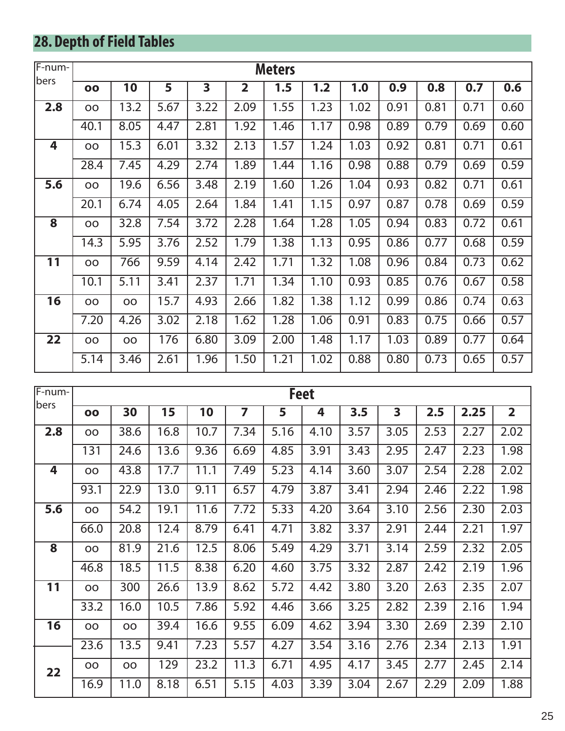# **28. Depth of Field Tables**

| F-num- |           | <b>Meters</b> |      |                         |                         |      |      |      |      |      |      |      |
|--------|-----------|---------------|------|-------------------------|-------------------------|------|------|------|------|------|------|------|
| bers   | 00        | 10            | 5    | $\overline{\mathbf{3}}$ | $\overline{\mathbf{2}}$ | 1.5  | 1.2  | 1.0  | 0.9  | 0.8  | 0.7  | 0.6  |
| 2.8    | <b>OO</b> | 13.2          | 5.67 | 3.22                    | 2.09                    | 1.55 | 1.23 | 1.02 | 0.91 | 0.81 | 0.71 | 0.60 |
|        | 40.1      | 8.05          | 4.47 | 2.81                    | 1.92                    | 1.46 | 1.17 | 0.98 | 0.89 | 0.79 | 0.69 | 0.60 |
| 4      | <b>OO</b> | 15.3          | 6.01 | 3.32                    | 2.13                    | 1.57 | 1.24 | 1.03 | 0.92 | 0.81 | 0.71 | 0.61 |
|        | 28.4      | 7.45          | 4.29 | 2.74                    | 1.89                    | 1.44 | 1.16 | 0.98 | 0.88 | 0.79 | 0.69 | 0.59 |
| 5.6    | OO        | 19.6          | 6.56 | 3.48                    | 2.19                    | 1.60 | 1.26 | 1.04 | 0.93 | 0.82 | 0.71 | 0.61 |
|        | 20.1      | 6.74          | 4.05 | 2.64                    | 1.84                    | 1.41 | 1.15 | 0.97 | 0.87 | 0.78 | 0.69 | 0.59 |
| 8      | <b>OO</b> | 32.8          | 7.54 | 3.72                    | 2.28                    | 1.64 | 1.28 | 1.05 | 0.94 | 0.83 | 0.72 | 0.61 |
|        | 14.3      | 5.95          | 3.76 | 2.52                    | 1.79                    | 1.38 | 1.13 | 0.95 | 0.86 | 0.77 | 0.68 | 0.59 |
| 11     | OO        | 766           | 9.59 | 4.14                    | 2.42                    | 1.71 | 1.32 | 1.08 | 0.96 | 0.84 | 0.73 | 0.62 |
|        | 10.1      | 5.11          | 3.41 | 2.37                    | 1.71                    | 1.34 | 1.10 | 0.93 | 0.85 | 0.76 | 0.67 | 0.58 |
| 16     | OO        | <b>OO</b>     | 15.7 | 4.93                    | 2.66                    | 1.82 | 1.38 | 1.12 | 0.99 | 0.86 | 0.74 | 0.63 |
|        | 7.20      | 4.26          | 3.02 | 2.18                    | 1.62                    | 1.28 | 1.06 | 0.91 | 0.83 | 0.75 | 0.66 | 0.57 |
| 22     | OO        | OO            | 176  | 6.80                    | 3.09                    | 2.00 | 1.48 | 1.17 | 1.03 | 0.89 | 0.77 | 0.64 |
|        | 5.14      | 3.46          | 2.61 | 1.96                    | 1.50                    | 1.21 | 1.02 | 0.88 | 0.80 | 0.73 | 0.65 | 0.57 |

| F-num- |                         | <b>Feet</b> |      |      |      |      |      |      |                         |      |      |                |
|--------|-------------------------|-------------|------|------|------|------|------|------|-------------------------|------|------|----------------|
| bers   | $\overline{\mathbf{O}}$ | 30          | 15   | 10   | 7    | 5    | 4    | 3.5  | $\overline{\mathbf{3}}$ | 2.5  | 2.25 | $\overline{2}$ |
| 2.8    | OO                      | 38.6        | 16.8 | 10.7 | 7.34 | 5.16 | 4.10 | 3.57 | 3.05                    | 2.53 | 2.27 | 2.02           |
|        | 131                     | 24.6        | 13.6 | 9.36 | 6.69 | 4.85 | 3.91 | 3.43 | 2.95                    | 2.47 | 2.23 | 1.98           |
| 4      | OO                      | 43.8        | 17.7 | 11.1 | 7.49 | 5.23 | 4.14 | 3.60 | 3.07                    | 2.54 | 2.28 | 2.02           |
|        | 93.1                    | 22.9        | 13.0 | 9.11 | 6.57 | 4.79 | 3.87 | 3.41 | 2.94                    | 2.46 | 2.22 | 1.98           |
| 5.6    | OO                      | 54.2        | 19.1 | 11.6 | 7.72 | 5.33 | 4.20 | 3.64 | 3.10                    | 2.56 | 2.30 | 2.03           |
|        | 66.0                    | 20.8        | 12.4 | 8.79 | 6.41 | 4.71 | 3.82 | 3.37 | 2.91                    | 2.44 | 2.21 | 1.97           |
| 8      | OO                      | 81.9        | 21.6 | 12.5 | 8.06 | 5.49 | 4.29 | 3.71 | 3.14                    | 2.59 | 2.32 | 2.05           |
|        | 46.8                    | 18.5        | 11.5 | 8.38 | 6.20 | 4.60 | 3.75 | 3.32 | 2.87                    | 2.42 | 2.19 | 1.96           |
| 11     | <b>OO</b>               | 300         | 26.6 | 13.9 | 8.62 | 5.72 | 4.42 | 3.80 | 3.20                    | 2.63 | 2.35 | 2.07           |
|        | 33.2                    | 16.0        | 10.5 | 7.86 | 5.92 | 4.46 | 3.66 | 3.25 | 2.82                    | 2.39 | 2.16 | 1.94           |
| 16     | OO                      | <b>OO</b>   | 39.4 | 16.6 | 9.55 | 6.09 | 4.62 | 3.94 | 3.30                    | 2.69 | 2.39 | 2.10           |
|        | 23.6                    | 13.5        | 9.41 | 7.23 | 5.57 | 4.27 | 3.54 | 3.16 | 2.76                    | 2.34 | 2.13 | 1.91           |
| 22     | OO                      | OO          | 129  | 23.2 | 11.3 | 6.71 | 4.95 | 4.17 | 3.45                    | 2.77 | 2.45 | 2.14           |
|        | 16.9                    | 11.0        | 8.18 | 6.51 | 5.15 | 4.03 | 3.39 | 3.04 | 2.67                    | 2.29 | 2.09 | 1.88           |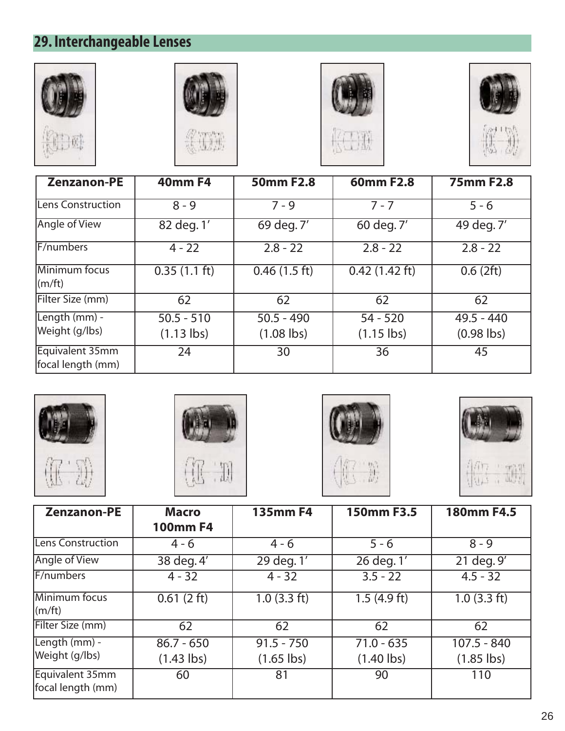# **29. Interchangeable Lenses**









| <b>Zenzanon-PE</b>                   | <b>40mm F4</b>               | 50mm F2.8                    | 60mm F2.8                   | <b>75mm F2.8</b>             |
|--------------------------------------|------------------------------|------------------------------|-----------------------------|------------------------------|
| Lens Construction                    | $8 - 9$                      | $7 - 9$                      | $7 - 7$                     | $5 - 6$                      |
| Angle of View                        | 82 deg. 1'                   | 69 deg. 7'                   | 60 deg. 7'                  | 49 deg. 7'                   |
| F/numbers                            | $4 - 22$                     | $2.8 - 22$                   | $2.8 - 22$                  | $2.8 - 22$                   |
| Minimum focus<br>$\lfloor$ (m/ft)    | $0.35(1.1 \text{ ft})$       | 0.46(1.5 ft)                 | $\overline{0.42}$ (1.42 ft) | 0.6(2 ft)                    |
| Filter Size (mm)                     | 62                           | 62                           | 62                          | 62                           |
| Length (mm) -<br>Weight (g/lbs)      | $50.5 - 510$<br>$(1.13$ lbs) | $50.5 - 490$<br>$(1.08$ lbs) | $54 - 520$<br>$(1.15$ lbs)  | $49.5 - 440$<br>$(0.98$ lbs) |
| Equivalent 35mm<br>focal length (mm) | 24                           | 30                           | 36                          | 45                           |









| <b>Zenzanon-PE</b>                   | <b>Macro</b>    | <b>135mm F4</b> | 150mm F3.5              | <b>180mm F4.5</b> |
|--------------------------------------|-----------------|-----------------|-------------------------|-------------------|
|                                      | <b>100mm F4</b> |                 |                         |                   |
| Lens Construction                    | $4 - 6$         | $4 - 6$         | $5 - 6$                 | $8 - 9$           |
| Angle of View                        | 38 deg. 4'      | 29 deg. 1'      | $\overline{26}$ deg. 1' | 21 deg. 9'        |
| F/numbers                            | $4 - 32$        | $4 - 32$        | $3.5 - 22$              | $4.5 - 32$        |
| Minimum focus<br>(m/ft)              | 0.61(2 ft)      | $1.0$ (3.3 ft)  | 1.5(4.9 ft)             | $1.0$ (3.3 ft)    |
| Filter Size (mm)                     | 62              | 62              | 62                      | 62                |
| Length (mm) -                        | $86.7 - 650$    | $91.5 - 750$    | $71.0 - 635$            | $107.5 - 840$     |
| Weight (g/lbs)                       | $(1.43$ lbs)    | $(1.65$ lbs)    | $(1.40$ lbs)            | $(1.85$ lbs)      |
| Equivalent 35mm<br>focal length (mm) | 60              | 81              | 90                      | 110               |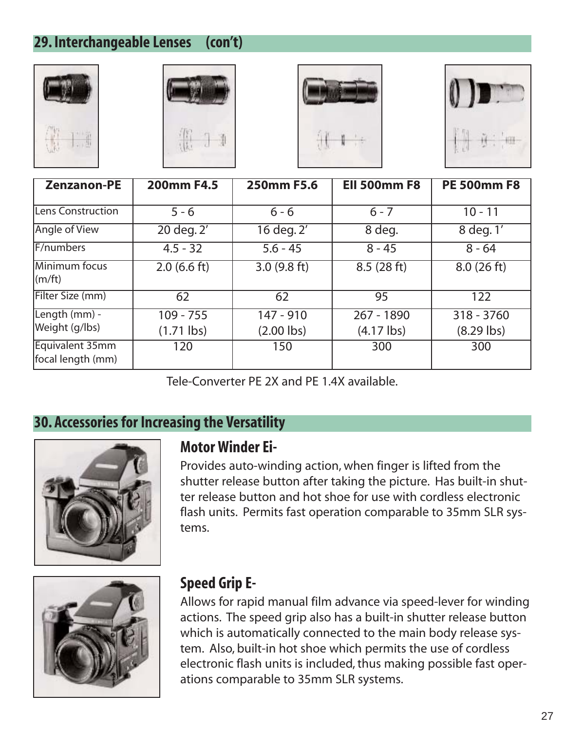## **29. Interchangeable Lenses (con't)**









| <b>Zenzanon-PE</b>                   | <b>200mm F4.5</b>           | 250mm F5.6                | <b>Ell 500mm F8</b>                | <b>PE 500mm F8</b>         |
|--------------------------------------|-----------------------------|---------------------------|------------------------------------|----------------------------|
| Lens Construction                    | $5 - 6$                     | $6 - 6$                   | $6 - 7$                            | $10 - 11$                  |
| Angle of View                        | 20 deg. 2'                  | 16 deg. 2'                | 8 deg.                             | 8 deg. 1'                  |
| F/numbers                            | $4.5 - 32$                  | $5.6 - 45$                | $8 - 45$                           | $8 - 64$                   |
| Minimum focus<br>$\vert$ (m/ft)      | $2.0$ (6.6 ft)              | 3.0(9.8 ft)               | 8.5(28 ft)                         | 8.0(26 ft)                 |
| Filter Size (mm)                     | 62                          | 62                        | 95                                 | 122                        |
| Length (mm) -<br>Weight (g/lbs)      | $109 - 755$<br>$(1.71$ lbs) | 147 - 910<br>$(2.00$ lbs) | 267 - 1890<br>$(4.17 \text{ lbs})$ | 318 - 3760<br>$(8.29$ lbs) |
| Equivalent 35mm<br>focal length (mm) | 120                         | 150                       | 300                                | 300                        |

Tele-Converter PE 2X and PE 1.4X available.

## **30. Accessories for Increasing the Versatility**



#### **Motor Winder Ei-**

Provides auto-winding action, when finger is lifted from the shutter release button after taking the picture. Has built-in shutter release button and hot shoe for use with cordless electronic flash units. Permits fast operation comparable to 35mm SLR systems.



## **Speed Grip E-**

Allows for rapid manual film advance via speed-lever for winding actions. The speed grip also has a built-in shutter release button which is automatically connected to the main body release system. Also, built-in hot shoe which permits the use of cordless electronic flash units is included, thus making possible fast operations comparable to 35mm SLR systems.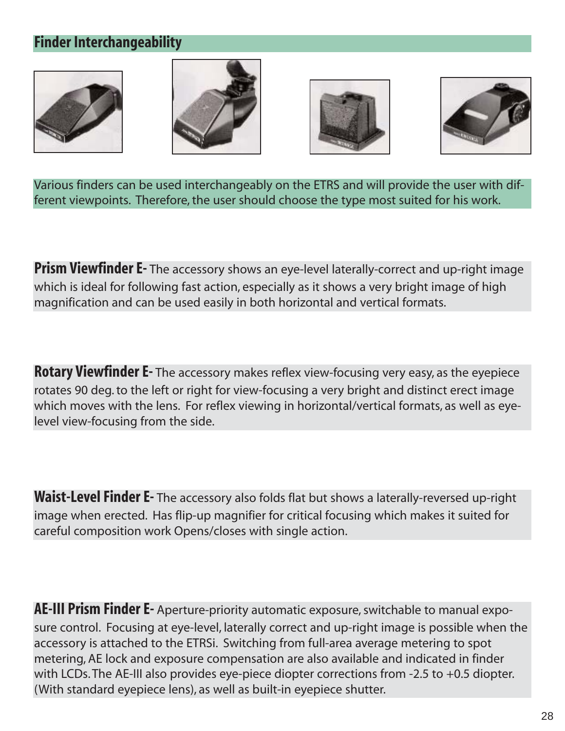## **Finder Interchangeability**









Various finders can be used interchangeably on the ETRS and will provide the user with different viewpoints. Therefore, the user should choose the type most suited for his work.

**Prism Viewfinder E-** The accessory shows an eye-level laterally-correct and up-right image which is ideal for following fast action, especially as it shows a very bright image of high magnification and can be used easily in both horizontal and vertical formats.

**Rotary Viewfinder E-** The accessory makes reflex view-focusing very easy, as the eyepiece rotates 90 deg. to the left or right for view-focusing a very bright and distinct erect image which moves with the lens. For reflex viewing in horizontal/vertical formats, as well as eyelevel view-focusing from the side.

**Waist-Level Finder E-** The accessory also folds flat but shows a laterally-reversed up-right image when erected. Has flip-up magnifier for critical focusing which makes it suited for careful composition work Opens/closes with single action.

**AE-III Prism Finder E-** Aperture-priority automatic exposure, switchable to manual exposure control. Focusing at eye-level, laterally correct and up-right image is possible when the accessory is attached to the ETRSi. Switching from full-area average metering to spot metering, AE lock and exposure compensation are also available and indicated in finder with LCDs. The AE-III also provides eye-piece diopter corrections from -2.5 to +0.5 diopter. (With standard eyepiece lens), as well as built-in eyepiece shutter.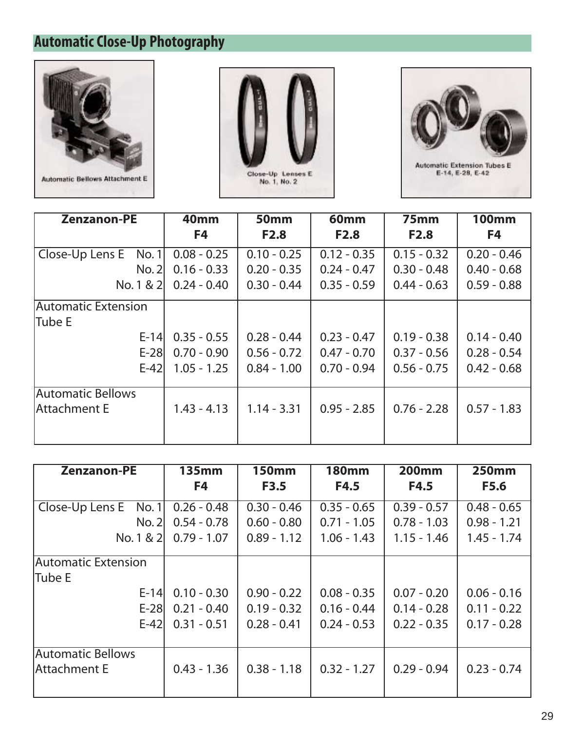## **Automatic Close-Up Photography**







| <b>Zenzanon-PE</b>         | <b>40mm</b>   | <b>50mm</b>   | 60mm          | 75mm          | <b>100mm</b>  |
|----------------------------|---------------|---------------|---------------|---------------|---------------|
|                            | F4            | <b>F2.8</b>   | <b>F2.8</b>   | <b>F2.8</b>   | F4            |
| Close-Up Lens E<br>No. 1   | $0.08 - 0.25$ | $0.10 - 0.25$ | $0.12 - 0.35$ | $0.15 - 0.32$ | $0.20 - 0.46$ |
| No. 2                      | $0.16 - 0.33$ | $0.20 - 0.35$ | $0.24 - 0.47$ | $0.30 - 0.48$ | $0.40 - 0.68$ |
| No. 1 & 2                  | $0.24 - 0.40$ | $0.30 - 0.44$ | $0.35 - 0.59$ | $0.44 - 0.63$ | $0.59 - 0.88$ |
| <b>Automatic Extension</b> |               |               |               |               |               |
| <b>Tube E</b>              |               |               |               |               |               |
| $E-14$                     | $0.35 - 0.55$ | $0.28 - 0.44$ | $0.23 - 0.47$ | $0.19 - 0.38$ | $0.14 - 0.40$ |
| $E-28$                     | $0.70 - 0.90$ | $0.56 - 0.72$ | $0.47 - 0.70$ | $0.37 - 0.56$ | $0.28 - 0.54$ |
| $E-42$                     | $1.05 - 1.25$ | $0.84 - 1.00$ | $0.70 - 0.94$ | $0.56 - 0.75$ | $0.42 - 0.68$ |
| <b>Automatic Bellows</b>   |               |               |               |               |               |
| lAttachment E              | $1.43 - 4.13$ | $1.14 - 3.31$ | $0.95 - 2.85$ | $0.76 - 2.28$ | $0.57 - 1.83$ |
|                            |               |               |               |               |               |

| <b>Zenzanon-PE</b>         | $135$ mm      | <b>150mm</b>  | <b>180mm</b>  | <b>200mm</b>  | <b>250mm</b>  |
|----------------------------|---------------|---------------|---------------|---------------|---------------|
|                            | F4            | <b>F3.5</b>   | F4.5          | F4.5          | F5.6          |
| Close-Up Lens E<br>No. 1   | $0.26 - 0.48$ | $0.30 - 0.46$ | $0.35 - 0.65$ | $0.39 - 0.57$ | $0.48 - 0.65$ |
| No. 2                      | $0.54 - 0.78$ | $0.60 - 0.80$ | $0.71 - 1.05$ | $0.78 - 1.03$ | $0.98 - 1.21$ |
| No. 1 & 2                  | $0.79 - 1.07$ | $0.89 - 1.12$ | $1.06 - 1.43$ | $1.15 - 1.46$ | $1.45 - 1.74$ |
| <b>Automatic Extension</b> |               |               |               |               |               |
| Tube E                     |               |               |               |               |               |
| $E-14$                     | $0.10 - 0.30$ | $0.90 - 0.22$ | $0.08 - 0.35$ | $0.07 - 0.20$ | $0.06 - 0.16$ |
| $E-28$                     | $0.21 - 0.40$ | $0.19 - 0.32$ | $0.16 - 0.44$ | $0.14 - 0.28$ | $0.11 - 0.22$ |
| $E-42$                     | $0.31 - 0.51$ | $0.28 - 0.41$ | $0.24 - 0.53$ | $0.22 - 0.35$ | $0.17 - 0.28$ |
| Automatic Bellows          |               |               |               |               |               |
| lAttachment E              | $0.43 - 1.36$ | $0.38 - 1.18$ | $0.32 - 1.27$ | $0.29 - 0.94$ | $0.23 - 0.74$ |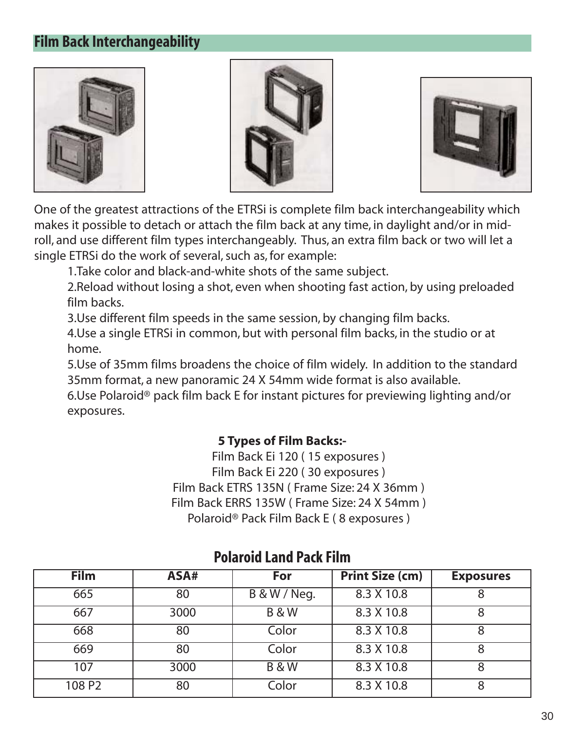#### **Film Back Interchangeability**







One of the greatest attractions of the ETRSi is complete film back interchangeability which makes it possible to detach or attach the film back at any time, in daylight and/or in midroll, and use different film types interchangeably. Thus, an extra film back or two will let a single ETRSi do the work of several, such as, for example:

1.Take color and black-and-white shots of the same subject.

2.Reload without losing a shot, even when shooting fast action, by using preloaded film backs.

3.Use different film speeds in the same session, by changing film backs.

4.Use a single ETRSi in common, but with personal film backs, in the studio or at home.

5.Use of 35mm films broadens the choice of film widely. In addition to the standard 35mm format, a new panoramic 24 X 54mm wide format is also available.

6.Use Polaroid® pack film back E for instant pictures for previewing lighting and/or exposures.

#### **5 Types of Film Backs:-**

Film Back Ei 120 ( 15 exposures ) Film Back Ei 220 ( 30 exposures ) Film Back ETRS 135N ( Frame Size: 24 X 36mm ) Film Back ERRS 135W ( Frame Size: 24 X 54mm ) Polaroid® Pack Film Back E ( 8 exposures )

| <b>Film</b>        | ASA# | For                     | <b>Print Size (cm)</b> | <b>Exposures</b> |
|--------------------|------|-------------------------|------------------------|------------------|
| 665                | 80   | <b>B &amp; W / Neg.</b> | 8.3 X 10.8             |                  |
| 667                | 3000 | <b>B&amp;W</b>          | 8.3 X 10.8             |                  |
| 668                | 80   | Color                   | 8.3 X 10.8             |                  |
| 669                | 80   | Color                   | 8.3 X 10.8             |                  |
| 107                | 3000 | <b>B&amp;W</b>          | 8.3 X 10.8             |                  |
| 108 P <sub>2</sub> | 80   | Color                   | 8.3 X 10.8             |                  |

#### **Polaroid Land Pack Film**